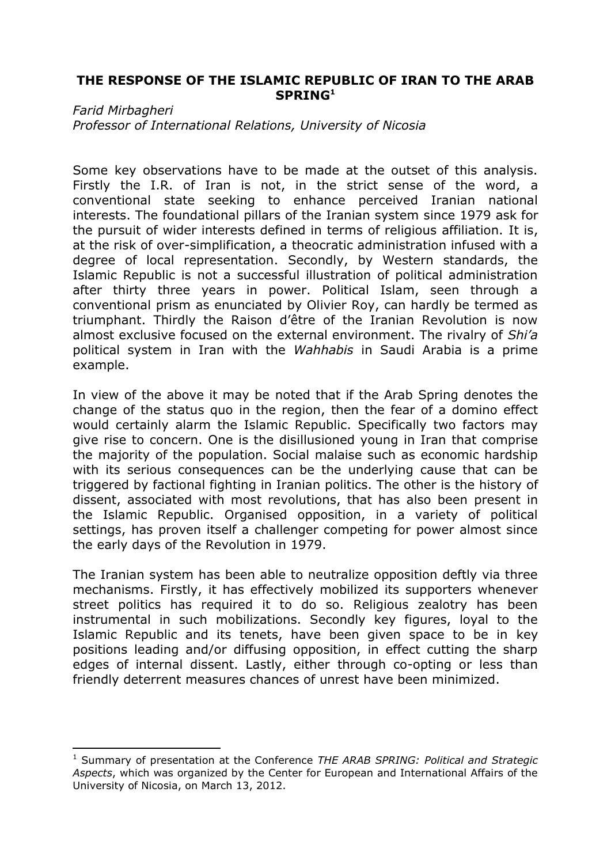## **THE RESPONSE OF THE ISLAMIC REPUBLIC OF IRAN TO THE ARAB SPRING<sup>1</sup>**

## *Farid Mirbagheri*

 $\overline{a}$ 

*Professor of International Relations, University of Nicosia*

Some key observations have to be made at the outset of this analysis. Firstly the I.R. of Iran is not, in the strict sense of the word, a conventional state seeking to enhance perceived Iranian national interests. The foundational pillars of the Iranian system since 1979 ask for the pursuit of wider interests defined in terms of religious affiliation. It is, at the risk of over-simplification, a theocratic administration infused with a degree of local representation. Secondly, by Western standards, the Islamic Republic is not a successful illustration of political administration after thirty three years in power. Political Islam, seen through a conventional prism as enunciated by Olivier Roy, can hardly be termed as triumphant. Thirdly the Raison d'être of the Iranian Revolution is now almost exclusive focused on the external environment. The rivalry of *Shi'a* political system in Iran with the *Wahhabis* in Saudi Arabia is a prime example.

In view of the above it may be noted that if the Arab Spring denotes the change of the status quo in the region, then the fear of a domino effect would certainly alarm the Islamic Republic. Specifically two factors may give rise to concern. One is the disillusioned young in Iran that comprise the majority of the population. Social malaise such as economic hardship with its serious consequences can be the underlying cause that can be triggered by factional fighting in Iranian politics. The other is the history of dissent, associated with most revolutions, that has also been present in the Islamic Republic. Organised opposition, in a variety of political settings, has proven itself a challenger competing for power almost since the early days of the Revolution in 1979.

The Iranian system has been able to neutralize opposition deftly via three mechanisms. Firstly, it has effectively mobilized its supporters whenever street politics has required it to do so. Religious zealotry has been instrumental in such mobilizations. Secondly key figures, loyal to the Islamic Republic and its tenets, have been given space to be in key positions leading and/or diffusing opposition, in effect cutting the sharp edges of internal dissent. Lastly, either through co-opting or less than friendly deterrent measures chances of unrest have been minimized.

<sup>1</sup> Summary of presentation at the Conference *THE ARAB SPRING: Political and Strategic Aspects*, which was organized by the Center for European and International Affairs of the University of Nicosia, on March 13, 2012.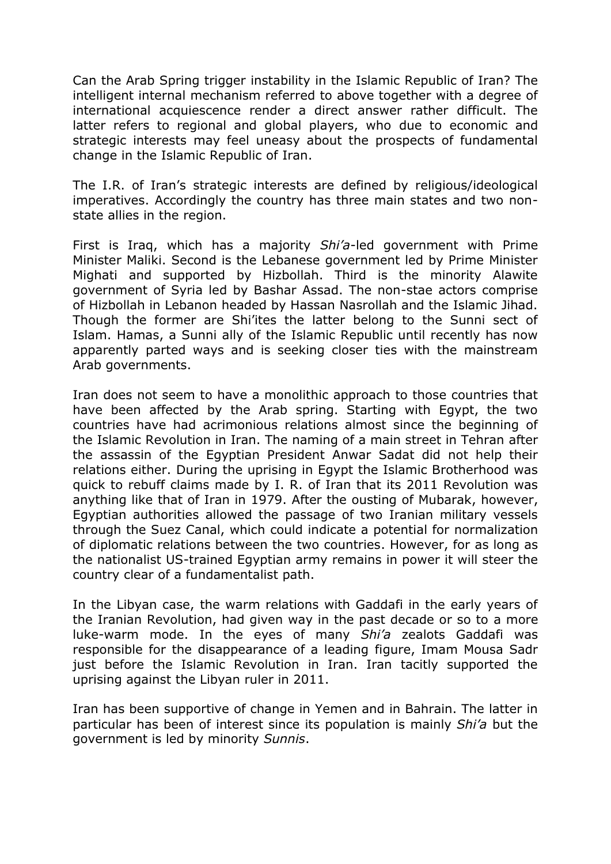Can the Arab Spring trigger instability in the Islamic Republic of Iran? The intelligent internal mechanism referred to above together with a degree of international acquiescence render a direct answer rather difficult. The latter refers to regional and global players, who due to economic and strategic interests may feel uneasy about the prospects of fundamental change in the Islamic Republic of Iran.

The I.R. of Iran's strategic interests are defined by religious/ideological imperatives. Accordingly the country has three main states and two nonstate allies in the region.

First is Iraq, which has a majority *Shi'a*-led government with Prime Minister Maliki. Second is the Lebanese government led by Prime Minister Mighati and supported by Hizbollah. Third is the minority Alawite government of Syria led by Bashar Assad. The non-stae actors comprise of Hizbollah in Lebanon headed by Hassan Nasrollah and the Islamic Jihad. Though the former are Shi'ites the latter belong to the Sunni sect of Islam. Hamas, a Sunni ally of the Islamic Republic until recently has now apparently parted ways and is seeking closer ties with the mainstream Arab governments.

Iran does not seem to have a monolithic approach to those countries that have been affected by the Arab spring. Starting with Egypt, the two countries have had acrimonious relations almost since the beginning of the Islamic Revolution in Iran. The naming of a main street in Tehran after the assassin of the Egyptian President Anwar Sadat did not help their relations either. During the uprising in Egypt the Islamic Brotherhood was quick to rebuff claims made by I. R. of Iran that its 2011 Revolution was anything like that of Iran in 1979. After the ousting of Mubarak, however, Egyptian authorities allowed the passage of two Iranian military vessels through the Suez Canal, which could indicate a potential for normalization of diplomatic relations between the two countries. However, for as long as the nationalist US-trained Egyptian army remains in power it will steer the country clear of a fundamentalist path.

In the Libyan case, the warm relations with Gaddafi in the early years of the Iranian Revolution, had given way in the past decade or so to a more luke-warm mode. In the eyes of many *Shi'a* zealots Gaddafi was responsible for the disappearance of a leading figure, Imam Mousa Sadr just before the Islamic Revolution in Iran. Iran tacitly supported the uprising against the Libyan ruler in 2011.

Iran has been supportive of change in Yemen and in Bahrain. The latter in particular has been of interest since its population is mainly *Shi'a* but the government is led by minority *Sunnis*.